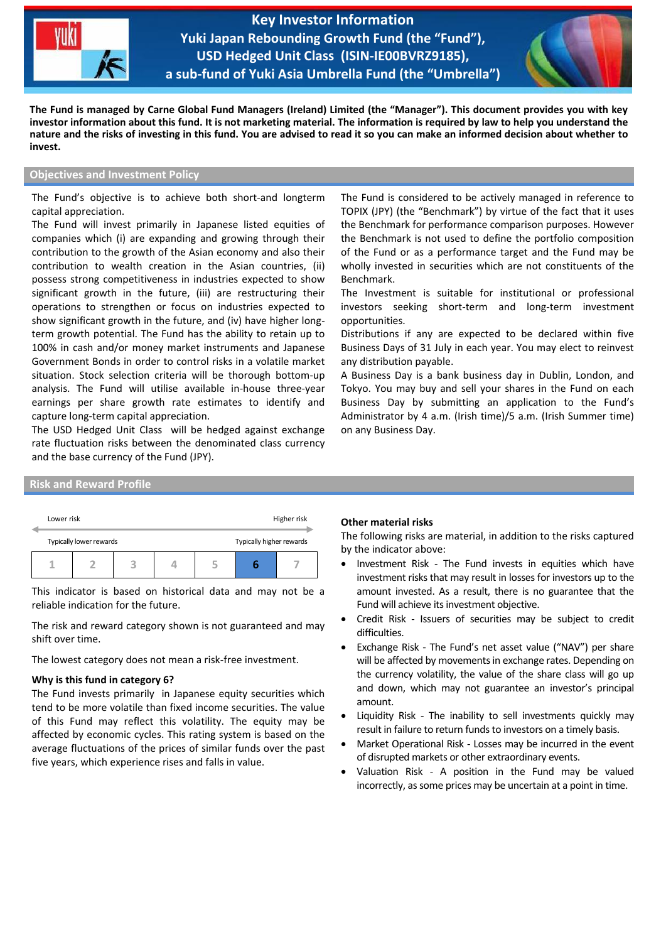

**Key Investor Information Yuki Japan Rebounding Growth Fund (the "Fund"), USD Hedged Unit Class (ISIN-IE00BVRZ9185), a sub-fund of Yuki Asia Umbrella Fund (the "Umbrella")**

֦



**The Fund is managed by Carne Global Fund Managers (Ireland) Limited (the "Manager"). This document provides you with key investor information about this fund. It is not marketing material. The information is required by law to help you understand the nature and the risks of investing in this fund. You are advised to read it so you can make an informed decision about whether to invest.**

# **Objectives and Investment Policy**

The Fund's objective is to achieve both short-and longterm capital appreciation.

The Fund will invest primarily in Japanese listed equities of companies which (i) are expanding and growing through their contribution to the growth of the Asian economy and also their contribution to wealth creation in the Asian countries, (ii) possess strong competitiveness in industries expected to show significant growth in the future, (iii) are restructuring their operations to strengthen or focus on industries expected to show significant growth in the future, and (iv) have higher longterm growth potential. The Fund has the ability to retain up to 100% in cash and/or money market instruments and Japanese Government Bonds in order to control risks in a volatile market situation. Stock selection criteria will be thorough bottom-up analysis. The Fund will utilise available in-house three-year earnings per share growth rate estimates to identify and capture long-term capital appreciation.

The USD Hedged Unit Class will be hedged against exchange rate fluctuation risks between the denominated class currency and the base currency of the Fund (JPY).

The Fund is considered to be actively managed in reference to TOPIX (JPY) (the "Benchmark") by virtue of the fact that it uses the Benchmark for performance comparison purposes. However the Benchmark is not used to define the portfolio composition of the Fund or as a performance target and the Fund may be wholly invested in securities which are not constituents of the Benchmark.

The Investment is suitable for institutional or professional investors seeking short-term and long-term investment opportunities.

Distributions if any are expected to be declared within five Business Days of 31 July in each year. You may elect to reinvest any distribution payable.

A Business Day is a bank business day in Dublin, London, and Tokyo. You may buy and sell your shares in the Fund on each Business Day by submitting an application to the Fund's Administrator by 4 a.m. (Irish time)/5 a.m. (Irish Summer time) on any Business Day.

#### **Risk and Reward Profile**

|  | Lower risk              |  |  |  |  | Higher risk              |  |
|--|-------------------------|--|--|--|--|--------------------------|--|
|  | Typically lower rewards |  |  |  |  | Typically higher rewards |  |
|  |                         |  |  |  |  |                          |  |

This indicator is based on historical data and may not be a reliable indication for the future.

The risk and reward category shown is not guaranteed and may shift over time.

The lowest category does not mean a risk-free investment.

#### **Why is this fund in category 6?**

The Fund invests primarily in Japanese equity securities which tend to be more volatile than fixed income securities. The value of this Fund may reflect this volatility. The equity may be affected by economic cycles. This rating system is based on the average fluctuations of the prices of similar funds over the past five years, which experience rises and falls in value.

## **Other material risks**

The following risks are material, in addition to the risks captured by the indicator above:

- Investment Risk The Fund invests in equities which have investment risks that may result in losses for investors up to the amount invested. As a result, there is no guarantee that the Fund will achieve its investment objective.
- Credit Risk Issuers of securities may be subject to credit difficulties.
- Exchange Risk The Fund's net asset value ("NAV") per share will be affected by movements in exchange rates. Depending on the currency volatility, the value of the share class will go up and down, which may not guarantee an investor's principal amount.
- Liquidity Risk The inability to sell investments quickly may result in failure to return funds to investors on a timely basis.
- Market Operational Risk Losses may be incurred in the event of disrupted markets or other extraordinary events.
- Valuation Risk A position in the Fund may be valued incorrectly, as some prices may be uncertain at a point in time.